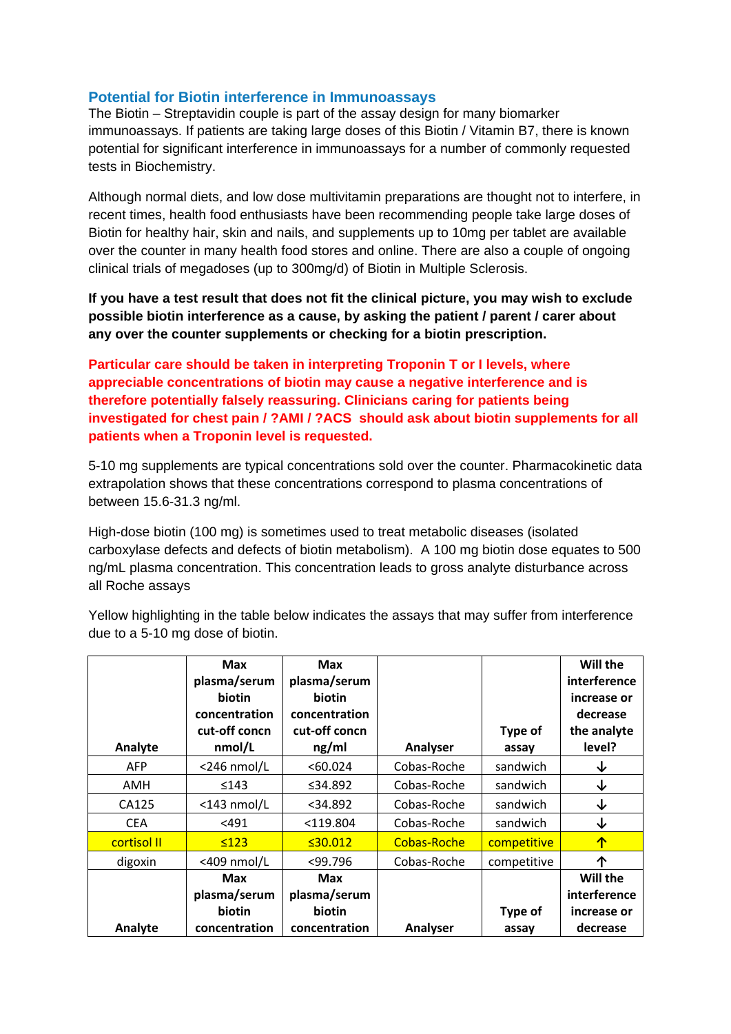## **Potential for Biotin interference in Immunoassays**

The Biotin – Streptavidin couple is part of the assay design for many biomarker immunoassays. If patients are taking large doses of this Biotin / Vitamin B7, there is known potential for significant interference in immunoassays for a number of commonly requested tests in Biochemistry.

Although normal diets, and low dose multivitamin preparations are thought not to interfere, in recent times, health food enthusiasts have been recommending people take large doses of Biotin for healthy hair, skin and nails, and supplements up to 10mg per tablet are available over the counter in many health food stores and online. There are also a couple of ongoing clinical trials of megadoses (up to 300mg/d) of Biotin in Multiple Sclerosis.

**If you have a test result that does not fit the clinical picture, you may wish to exclude possible biotin interference as a cause, by asking the patient / parent / carer about any over the counter supplements or checking for a biotin prescription.** 

**Particular care should be taken in interpreting Troponin T or I levels, where appreciable concentrations of biotin may cause a negative interference and is therefore potentially falsely reassuring. Clinicians caring for patients being investigated for chest pain / ?AMI / ?ACS should ask about biotin supplements for all patients when a Troponin level is requested.** 

5-10 mg supplements are typical concentrations sold over the counter. Pharmacokinetic data extrapolation shows that these concentrations correspond to plasma concentrations of between 15.6-31.3 ng/ml.

High-dose biotin (100 mg) is sometimes used to treat metabolic diseases (isolated carboxylase defects and defects of biotin metabolism). A 100 mg biotin dose equates to 500 ng/mL plasma concentration. This concentration leads to gross analyte disturbance across all Roche assays

Yellow highlighting in the table below indicates the assays that may suffer from interference due to a 5-10 mg dose of biotin.

| Analyte     | <b>Max</b><br>plasma/serum<br>biotin<br>concentration<br>cut-off concn<br>nmol/L | Max<br>plasma/serum<br>biotin<br>concentration<br>cut-off concn<br>ng/ml | Analyser    | Type of<br>assay | Will the<br>interference<br>increase or<br>decrease<br>the analyte<br>level? |
|-------------|----------------------------------------------------------------------------------|--------------------------------------------------------------------------|-------------|------------------|------------------------------------------------------------------------------|
| <b>AFP</b>  | $<$ 246 nmol/L                                                                   | <60.024                                                                  | Cobas-Roche | sandwich         | ↓                                                                            |
| AMH         | $\leq 143$                                                                       | ≤34.892                                                                  | Cobas-Roche | sandwich         | ↓                                                                            |
| CA125       | $<$ 143 nmol/L                                                                   | $<$ 34.892                                                               | Cobas-Roche | sandwich         | ↓                                                                            |
| <b>CEA</b>  | $<$ 491                                                                          | $<$ 119.804                                                              | Cobas-Roche | sandwich         | ↓                                                                            |
| cortisol II | ≤123                                                                             | ≤30.012                                                                  | Cobas-Roche | competitive      | ↑                                                                            |
| digoxin     | <409 nmol/L                                                                      | $<$ 99.796                                                               | Cobas-Roche | competitive      | ᠰ                                                                            |
| Analyte     | <b>Max</b><br>plasma/serum<br>biotin<br>concentration                            | <b>Max</b><br>plasma/serum<br>biotin<br>concentration                    | Analyser    | Type of<br>assay | Will the<br>interference<br>increase or<br>decrease                          |